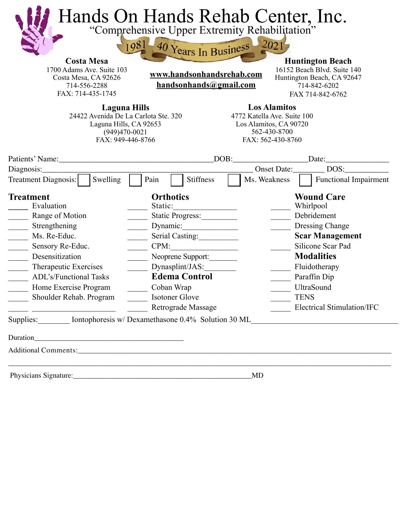| <b>Costa Mesa</b><br>1700 Adams Ave. Suite 103<br>Costa Mesa, CA 92626<br>714-556-2288                                                                                                                                                                                                                           | 981                                                                                                                                                                                                        | 40 Years In Business 2021<br>www.handsonhandsrehab.com<br>handsonhands@gmail.com |                                                                                                                                       | <b>Huntington Beach</b><br>16152 Beach Blvd. Suite 140<br>Huntington Beach, CA 92647<br>714-842-6202                                                                                                                                    |  |
|------------------------------------------------------------------------------------------------------------------------------------------------------------------------------------------------------------------------------------------------------------------------------------------------------------------|------------------------------------------------------------------------------------------------------------------------------------------------------------------------------------------------------------|----------------------------------------------------------------------------------|---------------------------------------------------------------------------------------------------------------------------------------|-----------------------------------------------------------------------------------------------------------------------------------------------------------------------------------------------------------------------------------------|--|
| FAX: 714-435-1745<br><b>Laguna Hills</b><br>24422 Avenida De La Carlota Ste. 320<br>Laguna Hills, CA 92653<br>$(949)470-0021$<br>FAX: 949-446-8766                                                                                                                                                               |                                                                                                                                                                                                            |                                                                                  | FAX 714-842-6762<br><b>Los Alamitos</b><br>4772 Katella Ave. Suite 100<br>Los Alamitos, CA 90720<br>562-430-8700<br>FAX: 562-430-8760 |                                                                                                                                                                                                                                         |  |
| Patients' Name: 2008                                                                                                                                                                                                                                                                                             |                                                                                                                                                                                                            | DOB:                                                                             |                                                                                                                                       | Date:                                                                                                                                                                                                                                   |  |
| Diagnosis:                                                                                                                                                                                                                                                                                                       |                                                                                                                                                                                                            |                                                                                  | DOS:<br><b>Onset Date:</b>                                                                                                            |                                                                                                                                                                                                                                         |  |
| Swelling<br>Treatment Diagnosis:                                                                                                                                                                                                                                                                                 | Stiffness<br>Pain                                                                                                                                                                                          |                                                                                  | Ms. Weakness                                                                                                                          | <b>Functional Impairment</b>                                                                                                                                                                                                            |  |
| <b>Treatment</b><br>Evaluation<br>Range of Motion<br>Strengthening<br>$\overline{\phantom{a}}$<br>Ms. Re-Educ.<br>Sensory Re-Educ.<br>$\frac{1}{2}$<br>$\overline{\phantom{a}}$<br>Desensitization<br>Therapeutic Exercises<br><b>ADL's/Functional Tasks</b><br>Home Exercise Program<br>Shoulder Rehab. Program | <b>Orthotics</b><br>Static:<br>Static Progress:<br>Serial Casting:<br>$CPM$ :<br>Neoprene Support:<br>Dynasplint/JAS:<br><b>Edema Control</b><br>Coban Wrap<br>Isotoner Glove<br><b>Retrograde Massage</b> |                                                                                  |                                                                                                                                       | <b>Wound Care</b><br>Whirlpool<br>Debridement<br>Dressing Change<br><b>Scar Management</b><br>Silicone Scar Pad<br><b>Modalities</b><br>Fluidotherapy<br>Paraffin Dip<br>UltraSound<br><b>TENS</b><br><b>Electrical Stimulation/IFC</b> |  |
| Supplies: Intophoresis w/ Dexamethasone 0.4% Solution 30 ML                                                                                                                                                                                                                                                      |                                                                                                                                                                                                            |                                                                                  |                                                                                                                                       |                                                                                                                                                                                                                                         |  |
|                                                                                                                                                                                                                                                                                                                  |                                                                                                                                                                                                            |                                                                                  |                                                                                                                                       |                                                                                                                                                                                                                                         |  |
|                                                                                                                                                                                                                                                                                                                  |                                                                                                                                                                                                            |                                                                                  |                                                                                                                                       |                                                                                                                                                                                                                                         |  |